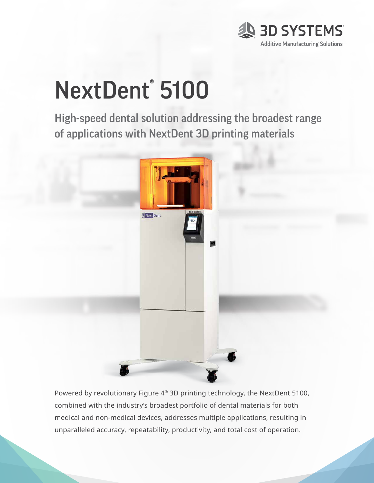

# NextDent® 5100

High-speed dental solution addressing the broadest range of applications with NextDent 3D printing materials



Powered by revolutionary Figure 4® 3D printing technology, the NextDent 5100, combined with the industry's broadest portfolio of dental materials for both medical and non-medical devices, addresses multiple applications, resulting in unparalleled accuracy, repeatability, productivity, and total cost of operation.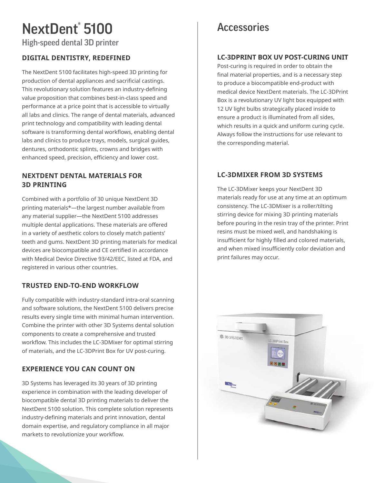# NextDent® 5100

High-speed dental 3D printer

#### **DIGITAL DENTISTRY, REDEFINED**

The NextDent 5100 facilitates high-speed 3D printing for production of dental appliances and sacrificial castings. This revolutionary solution features an industry-defining value proposition that combines best-in-class speed and performance at a price point that is accessible to virtually all labs and clinics. The range of dental materials, advanced print technology and compatibility with leading dental software is transforming dental workflows, enabling dental labs and clinics to produce trays, models, surgical guides, dentures, orthodontic splints, crowns and bridges with enhanced speed, precision, efficiency and lower cost.

#### **NEXTDENT DENTAL MATERIALS FOR 3D PRINTING**

Combined with a portfolio of 30 unique NextDent 3D printing materials\*—the largest number available from any material supplier—the NextDent 5100 addresses multiple dental applications. These materials are offered in a variety of aesthetic colors to closely match patients' teeth and gums. NextDent 3D printing materials for medical devices are biocompatible and CE certified in accordance with Medical Device Directive 93/42/EEC, listed at FDA, and registered in various other countries.

#### **TRUSTED END-TO-END WORKFLOW**

Fully compatible with industry-standard intra-oral scanning and software solutions, the NextDent 5100 delivers precise results every single time with minimal human intervention. Combine the printer with other 3D Systems dental solution components to create a comprehensive and trusted workflow. This includes the LC-3DMixer for optimal stirring of materials, and the LC-3DPrint Box for UV post-curing.

#### **EXPERIENCE YOU CAN COUNT ON**

3D Systems has leveraged its 30 years of 3D printing experience in combination with the leading developer of biocompatible dental 3D printing materials to deliver the NextDent 5100 solution. This complete solution represents industry-defining materials and print innovation, dental domain expertise, and regulatory compliance in all major markets to revolutionize your workflow.

### **Accessories**

#### **LC-3DPRINT BOX UV POST-CURING UNIT**

Post-curing is required in order to obtain the final material properties, and is a necessary step to produce a biocompatible end-product with medical device NextDent materials. The LC-3DPrint Box is a revolutionary UV light box equipped with 12 UV light bulbs strategically placed inside to ensure a product is illuminated from all sides, which results in a quick and uniform curing cycle. Always follow the instructions for use relevant to the corresponding material.

#### **LC-3DMIXER FROM 3D SYSTEMS**

The LC-3DMixer keeps your NextDent 3D materials ready for use at any time at an optimum consistency. The LC-3DMixer is a roller/tilting stirring device for mixing 3D printing materials before pouring in the resin tray of the printer. Print resins must be mixed well, and handshaking is insufficient for highly filled and colored materials, and when mixed insufficiently color deviation and print failures may occur.

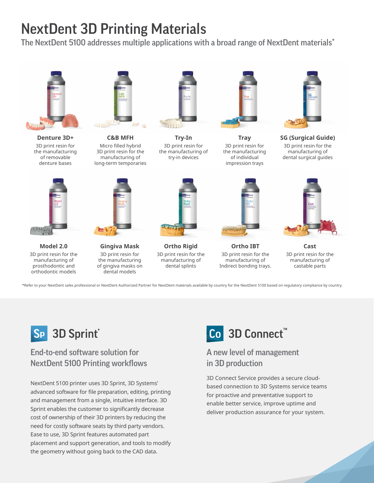## NextDent 3D Printing Materials

The NextDent 5100 addresses multiple applications with a broad range of NextDent materials\*



**Denture 3D+** 3D print resin for the manufacturing of removable denture bases



**Model 2.0** 3D print resin for the manufacturing of prosthodontic and orthodontic models



**C&B MFH**  Micro filled hybrid 3D print resin for the manufacturing of long-term temporaries



**Gingiva Mask** 3D print resin for the manufacturing of gingiva masks on dental models



**Try-In** 3D print resin for the manufacturing of try-in devices



**Tray** 3D print resin for the manufacturing of individual impression trays



**SG (Surgical Guide)** 3D print resin for the manufacturing of dental surgical guides



**Ortho IBT** 3D print resin for the manufacturing of Indirect bonding trays.



**Cast**  3D print resin for the manufacturing of castable parts

\*Refer to your NextDent sales professional or NextDent Authorized Partner for NextDent materials available by country for the NextDent 5100 based on regulatory compliance by country.

**Ortho Rigid** 3D print resin for the manufacturing of dental splints



#### End-to-end software solution for NextDent 5100 Printing workflows

NextDent 5100 printer uses 3D Sprint, 3D Systems' advanced software for file preparation, editing, printing and management from a single, intuitive interface. 3D Sprint enables the customer to significantly decrease cost of ownership of their 3D printers by reducing the need for costly software seats by third party vendors. Ease to use, 3D Sprint features automated part placement and support generation, and tools to modify the geometry without going back to the CAD data.

## Co 3D Connect™

#### A new level of management in 3D production

3D Connect Service provides a secure cloudbased connection to 3D Systems service teams for proactive and preventative support to enable better service, improve uptime and deliver production assurance for your system.